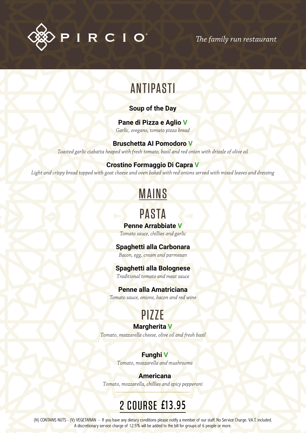

*The family run restaurant*

# ANTIPASTI

#### **Soup of the Day**

### **Pane di Pizza e Aglio V**

*Garlic, oregano, tomato pizza bread*

#### **Bruschetta AI Pomodoro V**

*Toasted garlic ciabatta heaped with fresh tomato, basil and red onion with drizzle of olive oil*

### **Crostino Formaggio Di Capra V**

*Light and crispy bread topped with goat cheese and oven baked with red onions served with mixed leaves and dressing*

# MAINS

# PASTA

### **Penne Arrabbiate V**

*Tomato sauce, chillies and garlic*

### **Spaghetti alla Carbonara**

*Bacon, egg, cream and parmesan*

### **Spaghetti alla Bolognese**

*Traditional tomato and meat sauce*

#### **Penne alla Amatriciana**

*Tomato sauce, onions, bacon and red wine*

# PIZZE

### **Margherita V**

*Tomato, mozzarella cheese, olive oil and fresh basil*

### **Funghi V**

*Tomato, mozzarella and mushrooms*

**Americana** *Tomato, mozzarella, chillies and spicy pepperoni*

# 2 COURSE **£13.95**

(N) CONTAINS NUTS - (V) VEGETARIAN - If you have any dietary conditions please notify a member of our staff. No Service Charge. V.A.T. included. A discretionary service charge of 12.5% will be added to the bill for groups of 6 people or more.